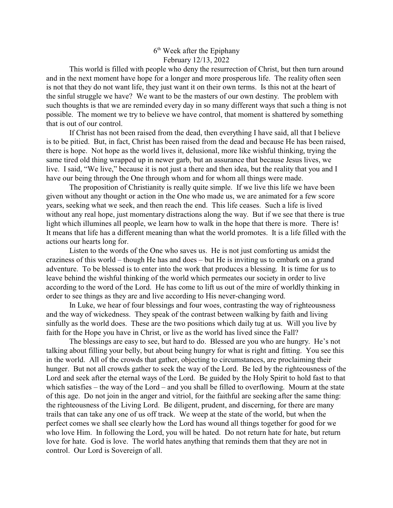## 6<sup>th</sup> Week after the Epiphany February 12/13, 2022

This world is filled with people who deny the resurrection of Christ, but then turn around and in the next moment have hope for a longer and more prosperous life. The reality often seen is not that they do not want life, they just want it on their own terms. Is this not at the heart of the sinful struggle we have? We want to be the masters of our own destiny. The problem with such thoughts is that we are reminded every day in so many different ways that such a thing is not possible. The moment we try to believe we have control, that moment is shattered by something that is out of our control.

If Christ has not been raised from the dead, then everything I have said, all that I believe is to be pitied. But, in fact, Christ has been raised from the dead and because He has been raised, there is hope. Not hope as the world lives it, delusional, more like wishful thinking, trying the same tired old thing wrapped up in newer garb, but an assurance that because Jesus lives, we live. I said, "We live," because it is not just a there and then idea, but the reality that you and I have our being through the One through whom and for whom all things were made.

The proposition of Christianity is really quite simple. If we live this life we have been given without any thought or action in the One who made us, we are animated for a few score years, seeking what we seek, and then reach the end. This life ceases. Such a life is lived without any real hope, just momentary distractions along the way. But if we see that there is true light which illumines all people, we learn how to walk in the hope that there is more. There is! It means that life has a different meaning than what the world promotes. It is a life filled with the actions our hearts long for.

Listen to the words of the One who saves us. He is not just comforting us amidst the craziness of this world – though He has and does – but He is inviting us to embark on a grand adventure. To be blessed is to enter into the work that produces a blessing. It is time for us to leave behind the wishful thinking of the world which permeates our society in order to live according to the word of the Lord. He has come to lift us out of the mire of worldly thinking in order to see things as they are and live according to His never-changing word.

In Luke, we hear of four blessings and four woes, contrasting the way of righteousness and the way of wickedness. They speak of the contrast between walking by faith and living sinfully as the world does. These are the two positions which daily tug at us. Will you live by faith for the Hope you have in Christ, or live as the world has lived since the Fall?

The blessings are easy to see, but hard to do. Blessed are you who are hungry. He's not talking about filling your belly, but about being hungry for what is right and fitting. You see this in the world. All of the crowds that gather, objecting to circumstances, are proclaiming their hunger. But not all crowds gather to seek the way of the Lord. Be led by the righteousness of the Lord and seek after the eternal ways of the Lord. Be guided by the Holy Spirit to hold fast to that which satisfies – the way of the Lord – and you shall be filled to overflowing. Mourn at the state of this age. Do not join in the anger and vitriol, for the faithful are seeking after the same thing: the righteousness of the Living Lord. Be diligent, prudent, and discerning, for there are many trails that can take any one of us off track. We weep at the state of the world, but when the perfect comes we shall see clearly how the Lord has wound all things together for good for we who love Him. In following the Lord, you will be hated. Do not return hate for hate, but return love for hate. God is love. The world hates anything that reminds them that they are not in control. Our Lord is Sovereign of all.